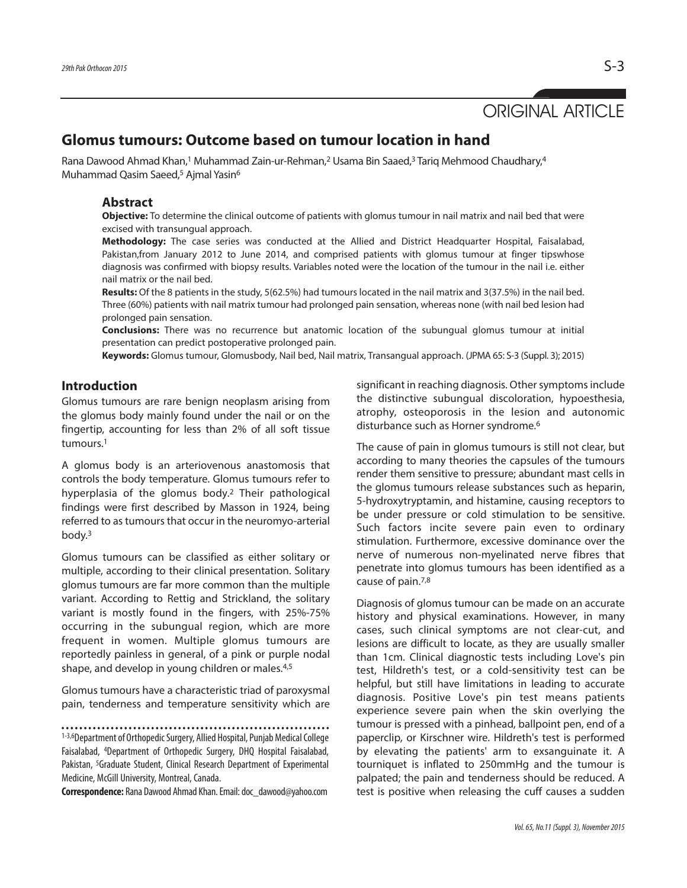# ORIGINAL ARTICLE

## **Glomus tumours: Outcome based on tumour location in hand**

Rana Dawood Ahmad Khan,1 Muhammad Zain-ur-Rehman,<sup>2</sup> Usama Bin Saaed,<sup>3</sup> Tariq Mehmood Chaudhary,4 Muhammad Qasim Saeed,<sup>5</sup> Ajmal Yasin<sup>6</sup>

### **Abstract**

**Objective:** To determine the clinical outcome of patients with glomus tumour in nail matrix and nail bed that were excised with transungual approach.

**Methodology:** The case series was conducted at the Allied and District Headquarter Hospital, Faisalabad, Pakistan,from January 2012 to June 2014, and comprised patients with glomus tumour at finger tipswhose diagnosis was confirmed with biopsy results. Variables noted were the location of the tumour in the nail i.e. either nail matrix or the nail bed.

**Results:** Of the 8 patients in the study, 5(62.5%) had tumours located in the nail matrix and 3(37.5%) in the nail bed. Three (60%) patients with nail matrix tumour had prolonged pain sensation, whereas none (with nail bed lesion had prolonged pain sensation.

**Conclusions:** There was no recurrence but anatomic location of the subungual glomus tumour at initial presentation can predict postoperative prolonged pain.

**Keywords:** Glomus tumour, Glomusbody, Nail bed, Nail matrix, Transangual approach. (JPMA 65: S-3 (Suppl. 3); 2015)

#### **Introduction**

Glomus tumours are rare benign neoplasm arising from the glomus body mainly found under the nail or on the fingertip, accounting for less than 2% of all soft tissue tumours. 1

A glomus body is an arteriovenous anastomosis that controls the body temperature. Glomus tumours refer to hyperplasia of the glomus body. <sup>2</sup> Their pathological findings were first described by Masson in 1924, being referred to as tumours that occur in the neuromyo-arterial body. 3

Glomus tumours can be classified as either solitary or multiple, according to their clinical presentation. Solitary glomus tumours are far more common than the multiple variant. According to Rettig and Strickland, the solitary variant is mostly found in the fingers, with 25%-75% occurring in the subungual region, which are more frequent in women. Multiple glomus tumours are reportedly painless in general, of a pink or purple nodal shape, and develop in young children or males. 4,5

Glomus tumours have a characteristic triad of paroxysmal pain, tenderness and temperature sensitivity which are

1-3,6Department of Orthopedic Surgery, Allied Hospital, Punjab Medical College Faisalabad, 4Department of Orthopedic Surgery, DHQ Hospital Faisalabad, Pakistan, <sup>5</sup>Graduate Student, Clinical Research Department of Experimental Medicine, McGill University, Montreal, Canada.

**Correspondence:** Rana Dawood Ahmad Khan. Email: doc\_dawood@yahoo.com

significant in reaching diagnosis. Other symptoms include the distinctive subungual discoloration, hypoesthesia, atrophy, osteoporosis in the lesion and autonomic disturbance such as Horner syndrome. 6

The cause of pain in glomus tumours is still not clear, but according to many theories the capsules of the tumours render them sensitive to pressure; abundant mast cells in the glomus tumours release substances such as heparin, 5-hydroxytryptamin, and histamine, causing receptors to be under pressure or cold stimulation to be sensitive. Such factors incite severe pain even to ordinary stimulation. Furthermore, excessive dominance over the nerve of numerous non-myelinated nerve fibres that penetrate into glomus tumours has been identified as a cause of pain. 7,8

Diagnosis of glomus tumour can be made on an accurate history and physical examinations. However, in many cases, such clinical symptoms are not clear-cut, and lesions are difficult to locate, as they are usually smaller than 1cm. Clinical diagnostic tests including Love's pin test, Hildreth's test, or a cold-sensitivity test can be helpful, but still have limitations in leading to accurate diagnosis. Positive Love's pin test means patients experience severe pain when the skin overlying the tumour is pressed with a pinhead, ballpoint pen, end of a paperclip, or Kirschner wire. Hildreth's test is performed by elevating the patients' arm to exsanguinate it. A tourniquet is inflated to 250mmHg and the tumour is palpated; the pain and tenderness should be reduced. A test is positive when releasing the cuff causes a sudden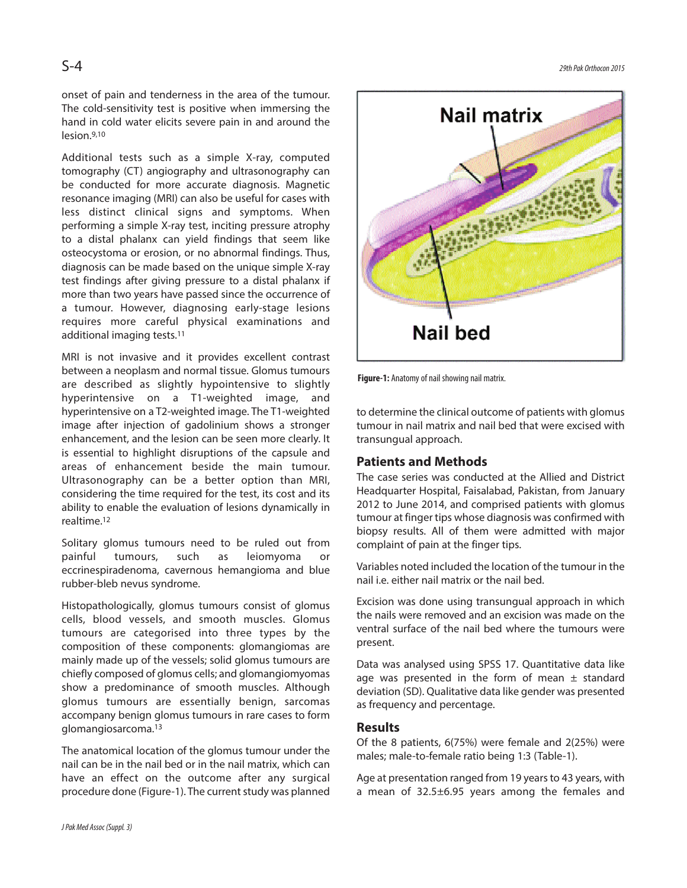S-4 *29thPak Orthocon2015*

onset of pain and tenderness in the area of the tumour. The cold-sensitivity test is positive when immersing the hand in cold water elicits severe pain in and around the lesion. 9,10

Additional tests such as a simple X-ray, computed tomography (CT) angiography and ultrasonography can be conducted for more accurate diagnosis. Magnetic resonance imaging (MRI) can also be useful for cases with less distinct clinical signs and symptoms. When performing a simple X-ray test, inciting pressure atrophy to a distal phalanx can yield findings that seem like osteocystoma or erosion, or no abnormal findings. Thus, diagnosis can be made based on the unique simple X-ray test findings after giving pressure to a distal phalanx if more than two years have passed since the occurrence of a tumour. However, diagnosing early-stage lesions requires more careful physical examinations and additional imaging tests. 11

MRI is not invasive and it provides excellent contrast between a neoplasm and normal tissue. Glomus tumours are described as slightly hypointensive to slightly hyperintensive on a T1-weighted image, and hyperintensive on a T2-weighted image. The T1-weighted image after injection of gadolinium shows a stronger enhancement, and the lesion can be seen more clearly. It is essential to highlight disruptions of the capsule and areas of enhancement beside the main tumour. Ultrasonography can be a better option than MRI, considering the time required for the test, its cost and its ability to enable the evaluation of lesions dynamically in realtime. 12

Solitary glomus tumours need to be ruled out from painful tumours, such as leiomyoma or eccrinespiradenoma, cavernous hemangioma and blue rubber-bleb nevus syndrome.

Histopathologically, glomus tumours consist of glomus cells, blood vessels, and smooth muscles. Glomus tumours are categorised into three types by the composition of these components: glomangiomas are mainly made up of the vessels; solid glomus tumours are chiefly composed of glomus cells; and glomangiomyomas show a predominance of smooth muscles. Although glomus tumours are essentially benign, sarcomas accompany benign glomus tumours in rare cases to form glomangiosarcoma. 13

The anatomical location of the glomus tumour under the nail can be in the nail bed or in the nail matrix, which can have an effect on the outcome after any surgical procedure done (Figure-1). The current study was planned



**Figure-1:** Anatomy of nail showing nail matrix.

to determine the clinical outcome of patients with glomus tumour in nail matrix and nail bed that were excised with transungual approach.

#### **Patients and Methods**

The case series was conducted at the Allied and District Headquarter Hospital, Faisalabad, Pakistan, from January 2012 to June 2014, and comprised patients with glomus tumour at finger tips whose diagnosis was confirmed with biopsy results. All of them were admitted with major complaint of pain at the finger tips.

Variables noted included the location of the tumour in the nail i.e. either nail matrix or the nail bed.

Excision was done using transungual approach in which the nails were removed and an excision was made on the ventral surface of the nail bed where the tumours were present.

Data was analysed using SPSS 17. Quantitative data like age was presented in the form of mean  $\pm$  standard deviation (SD). Qualitative data like gender was presented as frequency and percentage.

#### **Results**

Of the 8 patients, 6(75%) were female and 2(25%) were males; male-to-female ratio being 1:3 (Table-1).

Age at presentation ranged from 19 years to 43 years, with a mean of 32.5±6.95 years among the females and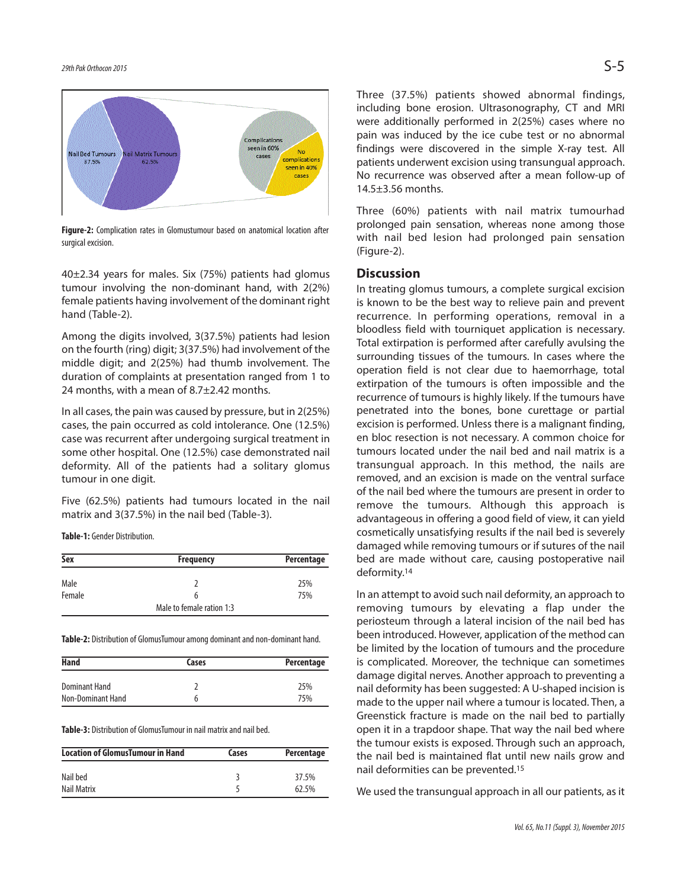

**Figure-2:** Complication rates in Glomustumour based on anatomical location after surgical excision.

40±2.34 years for males. Six (75%) patients had glomus tumour involving the non-dominant hand, with 2(2%) female patients having involvement of the dominant right hand (Table-2).

Among the digits involved, 3(37.5%) patients had lesion on the fourth (ring) digit; 3(37.5%) had involvement of the middle digit; and 2(25%) had thumb involvement. The duration of complaints at presentation ranged from 1 to 24 months, with a mean of 8.7±2.42 months.

In all cases, the pain was caused by pressure, but in 2(25%) cases, the pain occurred as cold intolerance. One (12.5%) case was recurrent after undergoing surgical treatment in some other hospital. One (12.5%) case demonstrated nail deformity. All of the patients had a solitary glomus tumour in one digit.

Five (62.5%) patients had tumours located in the nail matrix and 3(37.5%) in the nail bed (Table-3).

**Table-1:** Gender Distribution.

| Sex    | <b>Frequency</b>          | Percentage |
|--------|---------------------------|------------|
| Male   |                           | 25%        |
| Female | 6                         | 75%        |
|        | Male to female ration 1:3 |            |

Table-2: Distribution of GlomusTumour among dominant and non-dominant hand.

| Hand              | Cases | Percentage |  |
|-------------------|-------|------------|--|
|                   |       |            |  |
| Dominant Hand     |       | 25%        |  |
| Non-Dominant Hand | b     | 75%        |  |

**Table-3:** Distribution of GlomusTumour in nail matrix and nail bed.

| <b>Location of GlomusTumour in Hand</b> | Cases | Percentage |
|-----------------------------------------|-------|------------|
| Nail bed                                |       | 37.5%      |
| Nail Matrix                             |       | 62.5%      |

Three (37.5%) patients showed abnormal findings, including bone erosion. Ultrasonography, CT and MRI

were additionally performed in 2(25%) cases where no pain was induced by the ice cube test or no abnormal findings were discovered in the simple X-ray test. All patients underwent excision using transungual approach. No recurrence was observed after a mean follow-up of 14.5±3.56 months.

Three (60%) patients with nail matrix tumourhad prolonged pain sensation, whereas none among those with nail bed lesion had prolonged pain sensation (Figure-2).

#### **Discussion**

In treating glomus tumours, a complete surgical excision is known to be the best way to relieve pain and prevent recurrence. In performing operations, removal in a bloodless field with tourniquet application is necessary. Total extirpation is performed after carefully avulsing the surrounding tissues of the tumours. In cases where the operation field is not clear due to haemorrhage, total extirpation of the tumours is often impossible and the recurrence of tumours is highly likely. If the tumours have penetrated into the bones, bone curettage or partial excision is performed. Unless there is a malignant finding, en bloc resection is not necessary. A common choice for tumours located under the nail bed and nail matrix is a transungual approach. In this method, the nails are removed, and an excision is made on the ventral surface of the nail bed where the tumours are present in order to remove the tumours. Although this approach is advantageous in offering a good field of view, it can yield cosmetically unsatisfying results if the nail bed is severely damaged while removing tumours or if sutures of the nail bed are made without care, causing postoperative nail deformity. 14

In an attempt to avoid such nail deformity, an approach to removing tumours by elevating a flap under the periosteum through a lateral incision of the nail bed has been introduced. However, application of the method can be limited by the location of tumours and the procedure is complicated. Moreover, the technique can sometimes damage digital nerves. Another approach to preventing a nail deformity has been suggested: A U-shaped incision is made to the upper nail where a tumour is located. Then, a Greenstick fracture is made on the nail bed to partially open it in a trapdoor shape. That way the nail bed where the tumour exists is exposed. Through such an approach, the nail bed is maintained flat until new nails grow and nail deformities can be prevented. 15

We used the transungual approach in all our patients, as it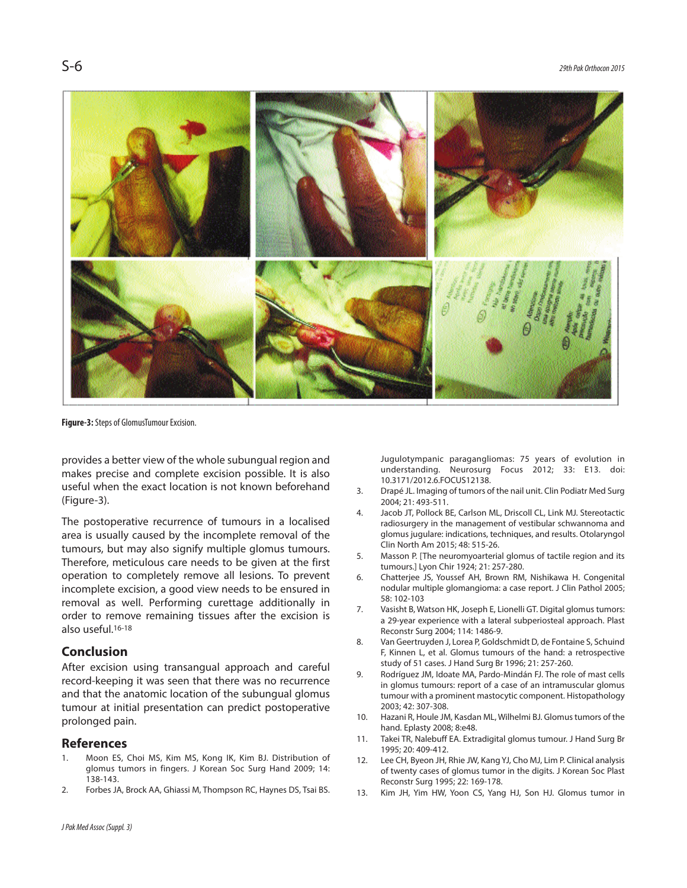

**Figure-3:** Steps of GlomusTumour Excision.

provides a better view of the whole subungual region and makes precise and complete excision possible. It is also useful when the exact location is not known beforehand (Figure-3).

The postoperative recurrence of tumours in a localised area is usually caused by the incomplete removal of the tumours, but may also signify multiple glomus tumours. Therefore, meticulous care needs to be given at the first operation to completely remove all lesions. To prevent incomplete excision, a good view needs to be ensured in removal as well. Performing curettage additionally in order to remove remaining tissues after the excision is also useful. 16-18

#### **Conclusion**

After excision using transangual approach and careful record-keeping it was seen that there was no recurrence and that the anatomic location of the subungual glomus tumour at initial presentation can predict postoperative prolonged pain.

#### **References**

- 1. Moon ES, Choi MS, Kim MS, Kong IK, Kim BJ. Distribution of glomus tumors in fingers. J Korean Soc Surg Hand 2009; 14: 138-143.
- 2. Forbes JA, Brock AA, Ghiassi M, Thompson RC, Haynes DS, Tsai BS.

Jugulotympanic paragangliomas: 75 years of evolution in understanding. Neurosurg Focus 2012; 33: E13. doi: 10.3171/2012.6.FOCUS12138.

- 3. Drapé JL. Imaging of tumors of the nail unit. Clin Podiatr Med Surg 2004; 21: 493-511.
- 4. Jacob JT, Pollock BE, Carlson ML, Driscoll CL, Link MJ. Stereotactic radiosurgery in the management of vestibular schwannoma and glomus jugulare: indications, techniques, and results. Otolaryngol Clin North Am 2015; 48: 515-26.
- 5. Masson P. [The neuromyoarterial glomus of tactile region and its tumours.] Lyon Chir 1924; 21: 257-280.
- 6. Chatterjee JS, Youssef AH, Brown RM, Nishikawa H. Congenital nodular multiple glomangioma: a case report. J Clin Pathol 2005; 58: 102-103
- 7. Vasisht B, Watson HK, Joseph E, Lionelli GT. Digital glomus tumors: a 29-year experience with a lateral subperiosteal approach. Plast Reconstr Surg 2004; 114: 1486-9.
- 8. Van Geertruyden J, Lorea P, Goldschmidt D, de Fontaine S, Schuind F, Kinnen L, et al. Glomus tumours of the hand: a retrospective study of 51 cases. J Hand Surg Br 1996; 21: 257-260.
- 9. Rodríguez JM, Idoate MA, Pardo-Mindán FJ. The role of mast cells in glomus tumours: report of a case of an intramuscular glomus tumour with a prominent mastocytic component. Histopathology 2003; 42: 307-308.
- 10. Hazani R, Houle JM, Kasdan ML, Wilhelmi BJ. Glomus tumors of the hand. Eplasty 2008; 8:e48.
- 11. Takei TR, Nalebuff EA. Extradigital glomus tumour. J Hand Surg Br 1995; 20: 409-412.
- 12. Lee CH, Byeon JH, Rhie JW, Kang YJ, Cho MJ, Lim P. Clinical analysis of twenty cases of glomus tumor in the digits. J Korean Soc Plast Reconstr Surg 1995; 22: 169-178.
- 13. Kim JH, Yim HW, Yoon CS, Yang HJ, Son HJ. Glomus tumor in